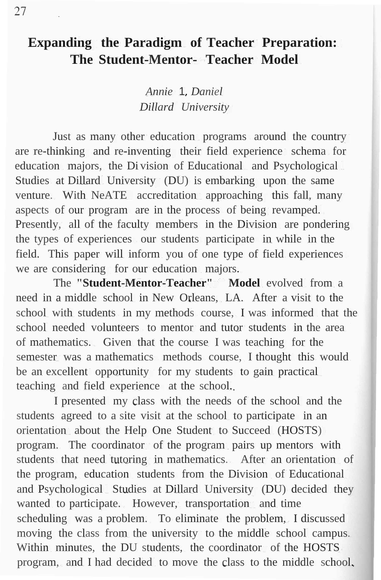# **Expanding the Paradigm of Teacher Preparation: The Student-Mentor- Teacher Model**

*Annie* 1. *Daniel Dillard University*

Just as many other education programs around the country are re-thinking and re-inventing their field experience schema for education majors, the Di vision of Educational and Psychological Studies at Dillard University (DU) is embarking upon the same venture. With NeATE accreditation approaching this fall, many aspects of our program are in the process of being revamped. Presently, all of the faculty members in the Division are pondering the types of experiences our students participate in while in the field. This paper will inform you of one type of field experiences we are considering for our education majors.

The **"Student-Mentor-Teacher" Model** evolved from a need in a middle school in New Orleans, LA. After a visit to the school with students in my methods course, I was informed that the school needed volunteers to mentor and tutor students in the area of mathematics. Given that the course I was teaching for the semester was a mathematics methods course, I thought this would be an excellent opportunity for my students to gain practical teaching and field experience at the school.

I presented my class with the needs of the school and the students agreed to a site visit at the school to participate in an orientation about the Help One Student to Succeed (HOSTS) program. The coordinator of the program pairs up mentors with students that need tutoring in mathematics. After an orientation of the program, education students from the Division of Educational and Psychological Studies at Dillard University (DU) decided they wanted to participate. However, transportation and time scheduling was a problem. To eliminate the problem, I discussed moving the class from the university to the middle school campus. Within minutes, the DU students, the coordinator of the HOSTS program, and I had decided to move the class to the middle school.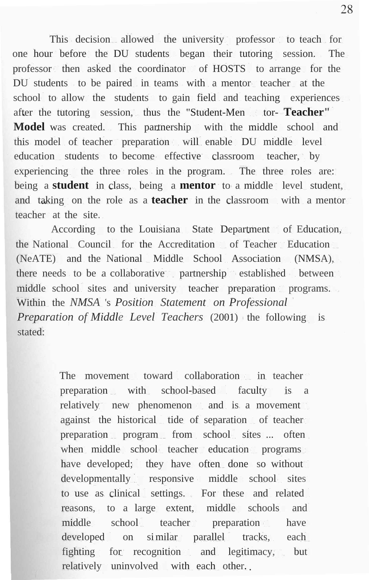This decision allowed the university professor to teach for one hour before the DU students began their tutoring session. The professor then asked the coordinator of HOSTS to arrange for the DU students to be paired in teams with a mentor teacher at the school to allow the students to gain field and teaching experiences after the tutoring session, thus the "Student-Men tor-Teacher" **Model** was created. This partnership with the middle school and this model of teacher preparation will enable DU middle level education students to become effective classroom teacher, by experiencing the three roles in the program. The three roles are: being a **student** in class, being a **mentor** to a middle level student, and taking on the role as a **teacher** in the classroom with a mentor teacher at the site.

According to the Louisiana State Department of Education, the National Council for the Accreditation of Teacher Education (NeATE) and the National Middle School Association (NMSA), there needs to be a collaborative partnership established between middle school sites and university teacher preparation programs. Within the *NMSA* 's *Position Statement on Professional Preparation of Middle Level Teachers* (2001) the following is stated:

> The movement toward collaboration in teacher preparation with school-based faculty is a relatively new phenomenon and is a movement against the historical tide of separation of teacher preparation program from school sites ... often when middle school teacher education programs have developed; they have often done so without developmentally responsive middle school sites to use as clinical settings. For these and related reasons, to a large extent, middle schools and middle school teacher preparation have developed on similar parallel tracks, each fighting for recognition and legitimacy, but relatively uninvolved with each other.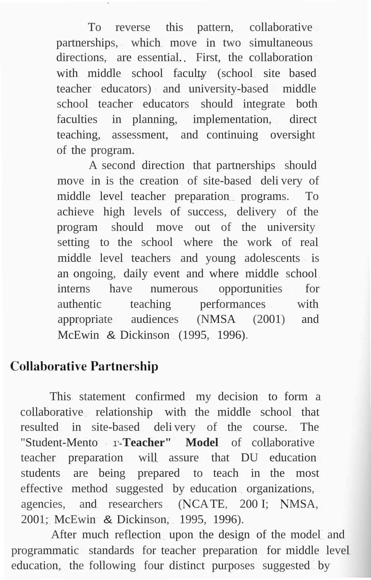To reverse this pattern, collaborative partnerships, which move in two simultaneous directions, are essential. First, the collaboration with middle school faculty (school site based teacher educators) and university-based middle school teacher educators should integrate both faculties in planning, implementation, direct teaching, assessment, and continuing oversight of the program.

A second direction that partnerships should move in is the creation of site-based deli very of middle level teacher preparation programs. To achieve high levels of success, delivery of the program should move out of the university setting to the school where the work of real middle level teachers and young adolescents is an ongoing, daily event and where middle school interns have numerous opportunities for authentic teaching performances with appropriate audiences (NMSA (2001) and McEwin & Dickinson (1995, 1996).

### **Collaborative Partnership**

This statement confirmed my decision to form a collaborative relationship with the middle school that resulted in site-based deli very of the course. The "Student-Mento 1'-**Teacher" Model** of collaborative teacher preparation will assure that DU education students are being prepared to teach in the most effective method suggested by education organizations, agencies, and researchers (NCATE, 200 I; NMSA, 2001; McEwin & Dickinson, 1995, 1996).

After much reflection upon the design of the model and programmatic standards for teacher preparation for middle level education, the following four distinct purposes suggested by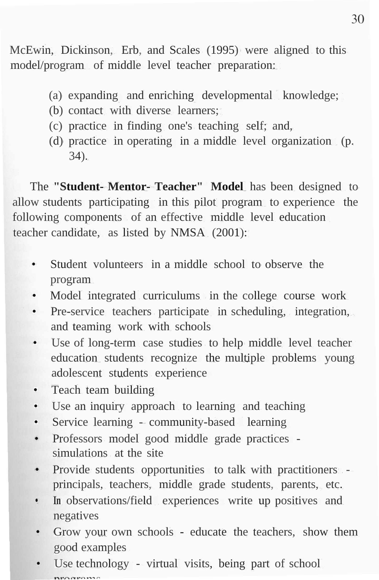McEwin, Dickinson, Erb, and Scales (1995) were aligned to this model/program of middle level teacher preparation:

- (a) expanding and enriching developmental knowledge;
- (b) contact with diverse learners;
- (c) practice in finding one's teaching self; and,
- (d) practice in operating in a middle level organization (p. 34).

The **"Student- Mentor- Teacher" Model** has been designed to allow students participating in this pilot program to experience the following components of an effective middle level education teacher candidate, as listed by NMSA (2001):

- Student volunteers in a middle school to observe the program
- Model integrated curriculums in the college course work
- Pre-service teachers participate in scheduling, integration, and teaming work with schools
- Use of long-term case studies to help middle level teacher education students recognize the multiple problems young adolescent students experience
- Teach team building
- Use an inquiry approach to learning and teaching
- Service learning community-based learning
- Professors model good middle grade practices simulations at the site
- Provide students opportunities to talk with practitioners principals, teachers, middle grade students, parents, etc.
- **• In** observations/field experiences write up positives and negatives
- Grow your own schools educate the teachers, show them good examples
- Use technology virtual visits, being part of school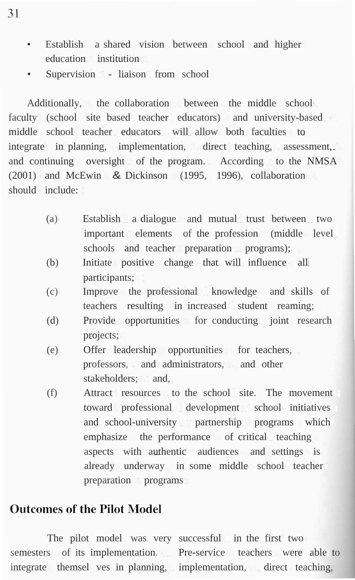- Establish a shared vision between school and higher education institution
- Supervision liaison from school

Additionally, the collaboration between the middle school faculty (school site based teacher educators) and university-based middle school teacher educators will allow both faculties to integrate in planning, implementation, direct teaching, assessment, and continuing oversight of the program. According to the NMSA (2001) and McEwin & Dickinson (1995, 1996), collaboration should include:

- (a) Establish a dialogue and mutual trust between two important elements of the profession (middle level) schools and teacher preparation programs);
- (b) Initiate positive change that will influence all participants;
- (c) Improve the professional knowledge and skills of teachers resulting in increased student reaming;
- (d) Provide opportunities for conducting joint research projects;
- (e) Offer leadership opportunities for teachers, professors, and administrators, and other stakeholders; and,
- (f) Attract resources to the school site. The movement toward professional development school initiatives and school-university partnership programs which emphasize the performance of critical teaching aspects with authentic audiences and settings is already underway in some middle school teacher preparation programs

#### **Outcomes of the Pilot Model**

The pilot model was very successful in the first two semesters of its implementation. Pre-service teachers were able to integrate themsel ves in planning, implementation, direct teaching,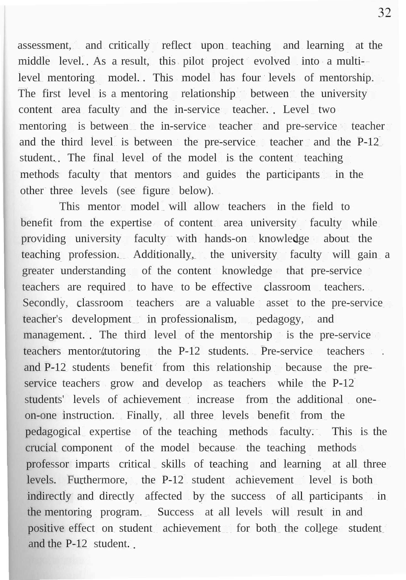assessment, and critically reflect upon teaching and learning at the middle level. As a result, this pilot project evolved into a multilevel mentoring model. This model has four levels of mentorship. The first level is a mentoring relationship between the university content area faculty and the in-service teacher. Level two mentoring is between the in-service teacher and pre-service teacher and the third level is between the pre-service teacher and the P-12 student. The final level of the model is the content teaching methods faculty that mentors and guides the participants in the other three levels (see figure below).

This mentor model will allow teachers in the field to benefit from the expertise of content area university faculty while providing university faculty with hands-on knowledge about the teaching profession. Additionally, the university faculty will gain a greater understanding of the content knowledge that pre-service teachers are required to have to be effective classroom teachers. Secondly, classroom teachers are a valuable asset to the pre-service teacher's development in professionalism, pedagogy, and management. The third level of the mentorship is the pre-service teachers mentor/tutoring the P-12 students. Pre-service teachers . and P-12 students benefit from this relationship because the preservice teachers grow and develop as teachers while the P-12 students' levels of achievement increase from the additional oneon-one instruction. Finally, all three levels benefit from the pedagogical expertise of the teaching methods faculty. This is the crucial component of the model because the teaching methods professor imparts critical skills of teaching and learning at all three levels. Furthermore, the P-12 student achievement level is both indirectly and directly affected by the success of all participants in the mentoring program. Success at all levels will result in and positive effect on student achievement for both the college student and the P-12 student.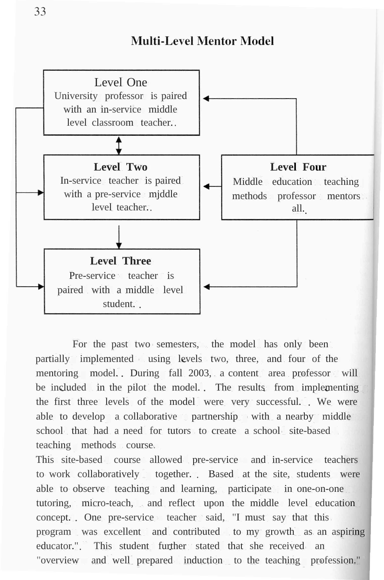### **Multi-Level Mentor Model**



For the past two semesters, the model has only been partially implemented using levels two, three, and four of the mentoring model. During fall 2003, a content area professor will be included in the pilot the model. The results from implementing the first three levels of the model were very successful. We were able to develop a collaborative partnership with a nearby middle school that had a need for tutors to create a school site-based teaching methods course.

This site-based course allowed pre-service and in-service teachers to work collaboratively together. Based at the site, students were able to observe teaching and learning, participate in one-on-one tutoring, micro-teach, and reflect upon the middle level education concept. One pre-service teacher said, "I must say that this program was excellent and contributed to my growth as an aspiring educator.". This student further stated that she received an "overview and well prepared induction to the teaching profession."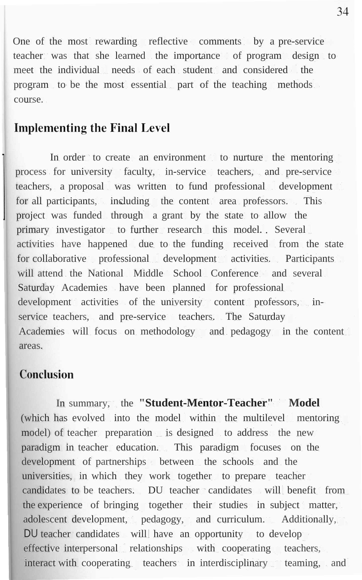One of the most rewarding reflective comments by a pre-service teacher was that she learned the importance of program design to meet the individual needs of each student and considered the program to be the most essential part of the teaching methods course.

#### **Implementing the Final Level**

In order to create an environment to nurture the mentoring process for university faculty, in-service teachers, and pre-service teachers, a proposal was written to fund professional development for all participants, including the content area professors. This project was funded through a grant by the state to allow the primary investigator to further research this model. Several activities have happened due to the funding received from the state for collaborative professional development activities. Participants will attend the National Middle School Conference and several Saturday Academies have been planned for professional development activities of the university content professors, inservice teachers, and pre-service teachers. The Saturday Academies will focus on methodology and pedagogy in the content areas.

## Conclusion

In summary, the **"Student-Mentor-Teacher" Model** (which has evolved into the model within the multilevel mentoring model) of teacher preparation is designed to address the new paradigm in teacher education. This paradigm focuses on the development of partnerships between the schools and the universities, in which they work together to prepare teacher candidates to be teachers. DU teacher candidates will benefit from the experience of bringing together their studies in subject matter, adolescent development, pedagogy, and curriculum. Additionally, DU teacher candidates will have an opportunity to develop effective interpersonal relationships with cooperating teachers, interact with cooperating teachers in interdisciplinary teaming, and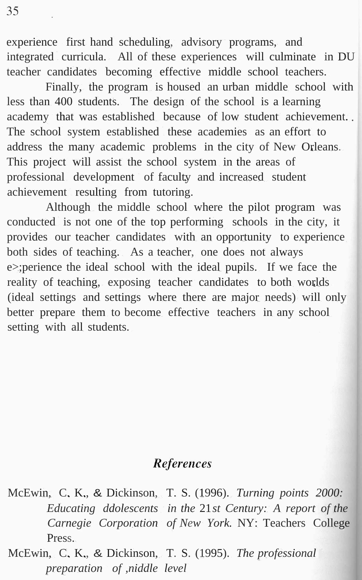experience first hand scheduling, advisory programs, and integrated curricula. All of these experiences will culminate in DU teacher candidates becoming effective middle school teachers.

Finally, the program is housed an urban middle school with less than 400 students. The design of the school is a learning academy that was established because of low student achievement. The school system established these academies as an effort to address the many academic problems in the city of New Orleans. This project will assist the school system in the areas of professional development of faculty and increased student achievement resulting from tutoring.

Although the middle school where the pilot program was conducted is not one of the top performing schools in the city, it provides our teacher candidates with an opportunity to experience both sides of teaching. As a teacher, one does not always e>;perience the ideal school with the ideal pupils. If we face the reality of teaching, exposing teacher candidates to both worlds (ideal settings and settings where there are major needs) will only better prepare them to become effective teachers in any school setting with all students.

## **References**

McEwin, C. K., & Dickinson, T. S. (1996). *Turning points 2000: Educating ddolescents in the* 21*st Century: A report of the Carnegie Corporation of New York.* NY: Teachers College Press.

McEwin, C. K., & Dickinson, T. S. (1995). *The professional preparation of ,niddle level*